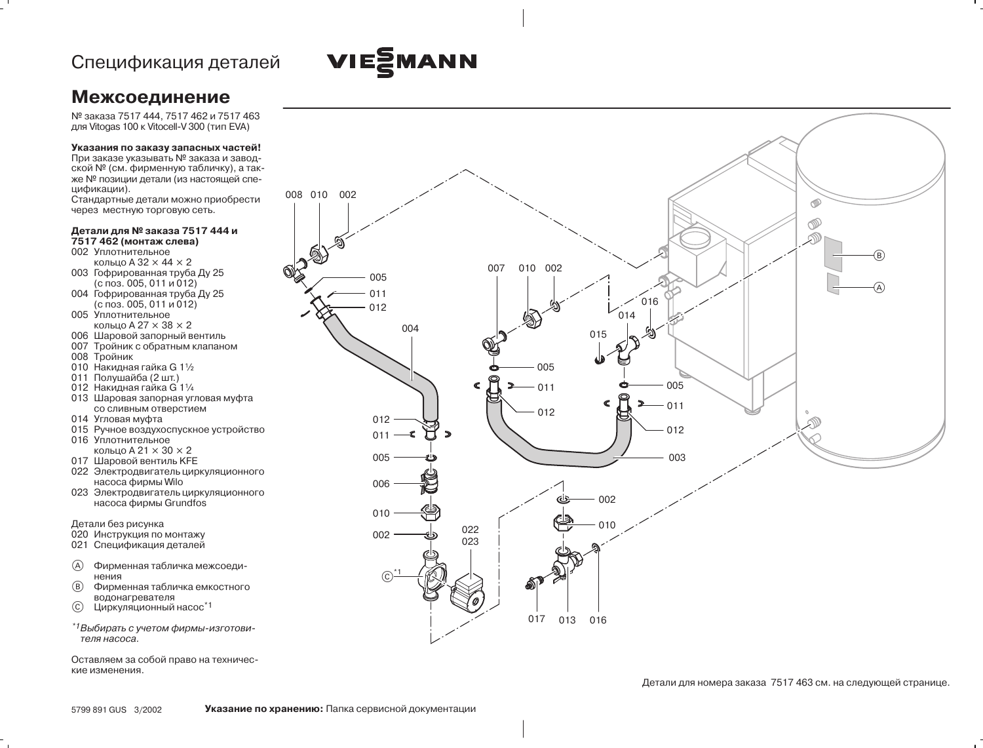## VIESMANN

## **Межсоединение**

№ заказа 7517 444, 7517 462 и 7517 463 для Vitogas 100 к Vitocell-V 300 (тип EVA)

## Указания по заказу запасных частей!

При заказе указывать № заказа и заводской № (см. фирменную табличку), а также № позиции детали (из настоящей спецификации).

Стандартные детали можно приобрести через местную торговую сеть.

## Детали для № заказа 7517 444 и 7517 462 (монтаж слева)

- 002 Уплотнительное кольцо А $32 \times 44 \times 2$
- 003 Гофрированная труба Ду 25  $(с$  поз. 005, 011 и 012)
- 004 Гофрированная труба Ду 25  $(6 \text{ m3. 005}, 011 \text{ m012})$
- 005 Уплотнительное кольцо A 27 × 38 × 2
- 006 Шаровой запорный вентиль
- 007 Тройник с обратным клапаном
- 008 Тройник
- 010 Накидная гайка G 11/2
- 011 Полушайба (2 шт.)
- 012 Накидная гайка G 11/4
- 013 Шаровая запорная угловая муфта со сливным отверстием
- 014 Угловая муфта
- 015 Ручное воздухоспускное устройство
- 016 Уплотнительное кольцо А 21  $\times$  30  $\times$  2
- 017 Шаровой вентиль КГЕ
- 022 Электродвигатель циркуляционного насоса фирмы Wilo
- 023 Электродвигатель циркуляционного насоса фирмы Grundfos

- Детали без рисунка<br>020 Инструкция по монтажу
- 021 Спецификация деталей
- $\mathcal{A}$ Фирменная табличка межсоединения
- $(B)$ Фирменная табличка емкостного водонагревателя
- $\odot$ Циркуляционный насос\*1
- \*<sup>1</sup>Выбирать с учетом фирмы-изготовителя насоса.

Оставляем за собой право на технические изменения.



Детали для номера заказа 7517 463 см. на следующей странице.